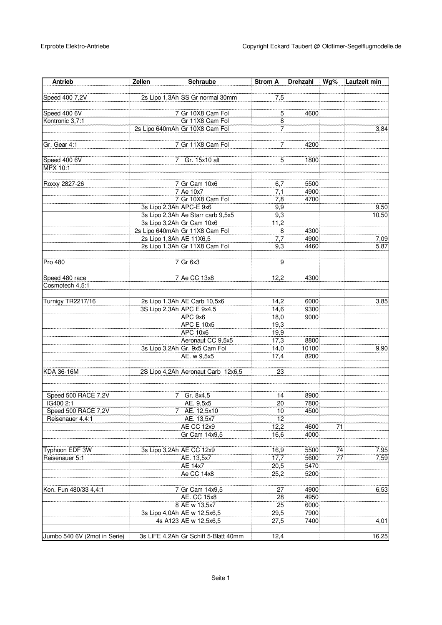| Antrieb                      | Zellen                    | <b>Schraube</b>                      | <b>Strom A</b>  | <b>Drehzahl</b> | Wg% | Laufzeit min |
|------------------------------|---------------------------|--------------------------------------|-----------------|-----------------|-----|--------------|
|                              |                           |                                      |                 |                 |     |              |
| Speed 400 7,2V               |                           | 2s Lipo 1,3Ah SS Gr normal 30mm      | 7.5             |                 |     |              |
| Speed 400 6V                 |                           | 7 Gr 10X8 Cam Fol                    | 5               | 4600            |     |              |
| Kontronic 3,7:1              |                           | Gr 11X8 Cam Fol                      | 8               |                 |     |              |
|                              |                           | 2s Lipo 640mAh Gr 10X8 Cam Fol       | 7               |                 |     | 3,84         |
|                              |                           |                                      |                 |                 |     |              |
| Gr. Gear 4:1                 |                           | 7 Gr 11X8 Cam Fol                    | 7               | 4200            |     |              |
|                              |                           |                                      |                 |                 |     |              |
| Speed 400 6V                 | 7                         | Gr. 15x10 alt                        | 5               | 1800            |     |              |
| MPX 10:1                     |                           |                                      |                 |                 |     |              |
|                              |                           | 7 Gr Cam 10x6                        |                 | 5500            |     |              |
| Roxxy 2827-26                |                           | 7 Ae 10x7                            | 6,7<br>7,1      | 4900            |     |              |
|                              |                           | 7 Gr 10X8 Cam Fol                    | 7,8             | 4700            |     |              |
|                              | 3s Lipo 2,3Ah APC-E 9x6   |                                      | 9,9             |                 |     | 9,50         |
|                              |                           | 3s Lipo 2,3Ah Ae Starr carb 9,5x5    | 9,3             |                 |     | 10,50        |
|                              |                           | 3s Lipo 3,2Ah Gr Cam 10x6            | 11,2            |                 |     |              |
|                              |                           | 2s Lipo 640mAh Gr 11X8 Cam Fol       | 8               | 4300            |     |              |
|                              | 2s Lipo 1,3Ah AE 11X6,5   |                                      | 7,7             | 4900            |     | 7,09         |
|                              |                           | 2s Lipo 1,3Ah Gr 11X8 Cam Fol        | 9,3             | 4460            |     | 5,87         |
|                              |                           |                                      |                 |                 |     |              |
| Pro 480                      |                           | 7 Gr 6x3                             | 9               |                 |     |              |
|                              |                           |                                      |                 |                 |     |              |
| Speed 480 race               |                           | 7 Ae CC 13x8                         | 12,2            | 4300            |     |              |
| Cosmotech 4,5:1              |                           |                                      |                 |                 |     |              |
|                              |                           |                                      |                 |                 |     |              |
| Turnigy TR2217/16            |                           | 2s Lipo 1,3Ah AE Carb 10,5x6         | 14,2            | 6000            |     | 3,85         |
|                              | 3S Lipo 2,3Ah APC E 9x4,5 |                                      | 14,6            | 9300            |     |              |
|                              |                           | APC 9x6<br><b>APC E 10x5</b>         | 18,0<br>19,3    | 9000            |     |              |
|                              |                           | <b>APC 10x6</b>                      | 19,9            |                 |     |              |
|                              |                           | Aeronaut CC 9,5x5                    | 17,3            | 8800            |     |              |
|                              |                           | 3s Lipo 3,2Ah Gr. 9x5 Cam Fol        | 14,0            | 10100           |     | 9,90         |
|                              |                           | AE. w 9,5x5                          | 17,4            | 8200            |     |              |
|                              |                           |                                      |                 |                 |     |              |
| KDA 36-16M                   |                           | 2S Lipo 4,2Ah Aeronaut Carb 12x6,5   | 23              |                 |     |              |
|                              |                           |                                      |                 |                 |     |              |
|                              |                           |                                      |                 |                 |     |              |
| Speed 500 RACE 7,2V          | 71                        | Gr. 8x4,5                            | 14              | 8900            |     |              |
| IG400 2:1                    |                           | AE. 9,5x5                            | 20              | 7800            |     |              |
| Speed 500 RACE 7,2V          |                           | 7 AE. 12,5x10                        | 10              | 4500            |     |              |
| Reisenauer 4.4:1             |                           | AE. 13,5x7                           | $\overline{12}$ |                 |     |              |
|                              |                           | <b>AE CC 12x9</b><br>Gr Cam 14x9,5   | 12,2            | 4600            | 71  |              |
|                              |                           |                                      | 16,6            | 4000            |     |              |
| Typhoon EDF 3W               | 3s Lipo 3,2Ah AE CC 12x9  |                                      | 16,9            | 5500            | 74  | 7,95         |
| Reisenauer 5:1               |                           | AE. 13,5x7                           | 17,7            | 5600            | 77  | 7,59         |
|                              |                           | AE 14x7                              | 20,5            | 5470            |     |              |
|                              |                           | Ae CC 14x8                           | 25,2            | 5200            |     |              |
|                              |                           |                                      |                 |                 |     |              |
| Kon. Fun 480/33 4,4:1        |                           | 7 Gr Cam 14x9,5                      | 27              | 4900            |     | 6,53         |
|                              |                           | AE. CC 15x8                          | 28              | 4950            |     |              |
|                              |                           | 8 AE w 13,5x7                        | 25              | 6000            |     |              |
|                              |                           | 3s Lipo 4,0Ah AE w 12,5x6,5          | 29,5            | 7900            |     |              |
|                              |                           | 4s A123 AE w 12,5x6,5                | 27,5            | 7400            |     | 4,01         |
|                              |                           |                                      |                 |                 |     |              |
| Jumbo 540 6V (2mot in Serie) |                           | 3s LIFE 4,2Ah Gr Schiff 5-Blatt 40mm | 12,4            |                 |     | 16,25        |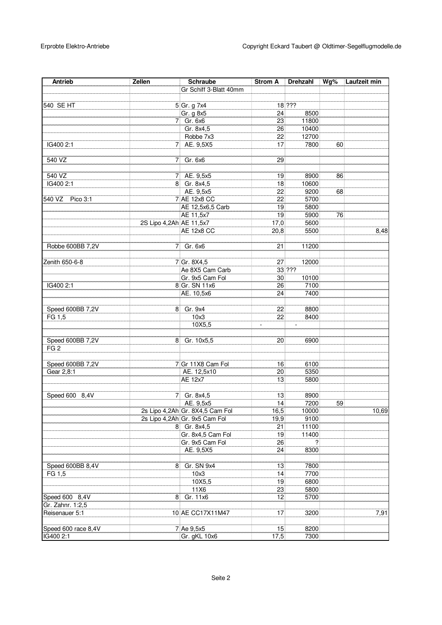| Antrieb             | Zellen                  | <b>Schraube</b>                 | <b>Strom A</b>  | Drehzahl     | Wg% | Laufzeit min |
|---------------------|-------------------------|---------------------------------|-----------------|--------------|-----|--------------|
|                     |                         | Gr Schiff 3-Blatt 40mm          |                 |              |     |              |
|                     |                         |                                 |                 |              |     |              |
| 540 SE HT           |                         | 5 Gr. g 7x4                     |                 | $18$ ???     |     |              |
|                     |                         | Gr. g 8x5                       | 24              | 8500         |     |              |
|                     |                         | 7 Gr. 6x6                       | 23              | 11800        |     |              |
|                     |                         | Gr. 8x4,5                       | 26              | 10400        |     |              |
|                     |                         | Robbe 7x3                       | 22              | 12700        |     |              |
| IG400 2:1           | 71                      | AE. 9,5X5                       | 17              | 7800         | 60  |              |
|                     |                         |                                 |                 |              |     |              |
| 540 VZ              | 71                      | Gr. 6x6                         | 29              |              |     |              |
|                     |                         |                                 |                 |              |     |              |
| 540 VZ              | 71                      | AE. 9,5x5                       | 19              | 8900         | 86  |              |
| IG400 2:1           |                         | 8 Gr. 8x4,5                     | 18              | 10600        |     |              |
|                     |                         | AE. 9,5x5                       | 22              | 9200         | 68  |              |
| 540 VZ Pico 3:1     |                         | 7 AE 12x8 CC                    | 22              | 5700         |     |              |
|                     |                         | AE 12,5x6,5 Carb                | 19              | 5800         |     |              |
|                     |                         | AE 11,5x7                       | 19              | 5900         | 76  |              |
|                     | 2S Lipo 4,2Ah AE 11,5x7 |                                 | 17,0            | 5600         |     |              |
|                     |                         | <b>AE 12x8 CC</b>               | 20,8            | 5500         |     | 8,48         |
|                     |                         |                                 |                 |              |     |              |
| Robbe 600BB 7,2V    | $\overline{7}$          | Gr. 6x6                         | 21              | 11200        |     |              |
|                     |                         |                                 |                 |              |     |              |
| Zenith 650-6-8      |                         | 7 Gr. 8X4,5                     | 27              | 12000        |     |              |
|                     |                         | Ae 8X5 Cam Carb                 |                 | $33   ?\, ?$ |     |              |
|                     |                         | Gr. 9x5 Cam Fol                 | 30              | 10100        |     |              |
| IG400 2:1           |                         | 8 Gr. SN 11x6                   | 26              | 7100         |     |              |
|                     |                         | AE. 10,5x6                      | 24              | 7400         |     |              |
|                     |                         |                                 |                 |              |     |              |
| Speed 600BB 7,2V    | 8                       | Gr. 9x4                         | 22              | 8800         |     |              |
| FG 1,5              |                         | 10x3                            | 22              | 8400         |     |              |
|                     |                         | 10X5,5                          |                 |              |     |              |
|                     |                         |                                 |                 |              |     |              |
| Speed 600BB 7,2V    |                         | 8 Gr. 10x5,5                    | 20              | 6900         |     |              |
| FG <sub>2</sub>     |                         |                                 |                 |              |     |              |
|                     |                         |                                 |                 |              |     |              |
| Speed 600BB 7,2V    |                         | 7 Gr 11X8 Cam Fol               | 16              | 6100         |     |              |
| Gear 2,8:1          |                         | AE. 12,5x10                     | 20              | 5350         |     |              |
|                     |                         | AE 12x7                         | 13              | 5800         |     |              |
|                     |                         |                                 |                 |              |     |              |
| Speed 600 8,4V      | 71                      | Gr. 8x4,5                       | 13              | 8900         |     |              |
|                     |                         | AE. 9,5x5                       | 14              | 7200         | 59  |              |
|                     |                         | 2s Lipo 4,2Ah Gr. 8X4,5 Cam Fol | 16,5            | 10000        |     | 10,69        |
|                     |                         | 2s Lipo 4,2Ah Gr. 9x5 Cam Fol   | 19,9            | 9100         |     |              |
|                     |                         | 8 Gr. 8x4,5                     | 21              | 11100        |     |              |
|                     |                         | Gr. 8x4,5 Cam Fol               | 19              | 11400        |     |              |
|                     |                         | Gr. 9x5 Cam Fol                 | 26              | ?            |     |              |
|                     |                         | AE. 9,5X5                       | 24              | 8300         |     |              |
|                     |                         |                                 |                 |              |     |              |
| Speed 600BB 8,4V    | 8                       | Gr. SN 9x4                      | 13              | 7800         |     |              |
| FG 1,5              |                         | 10x3                            | 14              | 7700         |     |              |
|                     |                         | 10X5,5                          | 19              | 6800         |     |              |
|                     |                         | 11X6                            | $\overline{23}$ | 5800         |     |              |
| Speed 600 8,4V      |                         | 8 Gr. 11x6                      | 12              | 5700         |     |              |
| Gr. Zahnr. 1:2,5    |                         |                                 |                 |              |     |              |
| Reisenauer 5:1      |                         | 10 AE CC17X11M47                | 17              | 3200         |     | 7,91         |
|                     |                         |                                 |                 |              |     |              |
| Speed 600 race 8,4V |                         | 7 Ae 9,5x5                      | 15              | 8200         |     |              |
| IG400 2:1           |                         | Gr. gKL 10x6                    | 17,5            | 7300         |     |              |
|                     |                         |                                 |                 |              |     |              |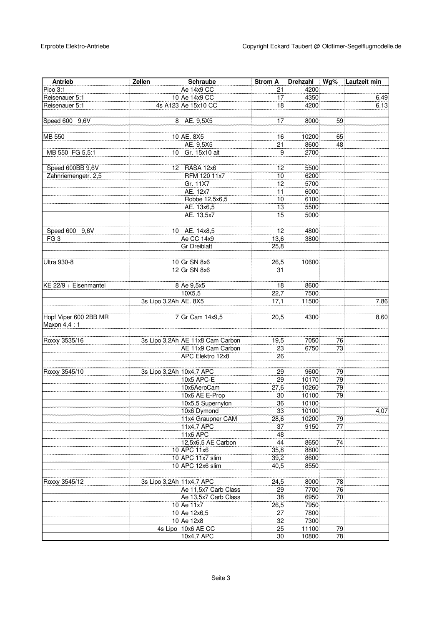| Antrieb               | Zellen                   | Schraube                         | <b>Strom A</b> | Drehzahl | Wg% | Laufzeit min |
|-----------------------|--------------------------|----------------------------------|----------------|----------|-----|--------------|
| Pico 3:1              |                          | Ae 14x9 CC                       | 21             | 4200     |     |              |
| Reisenauer 5:1        |                          | 10 Ae 14x9 CC                    | 17             | 4350     |     | 6,49         |
| Reisenauer 5:1        |                          | 4s A123 Ae 15x10 CC              | 18             | 4200     |     | 6,13         |
|                       |                          |                                  |                |          |     |              |
| Speed 600 9,6V        | 8                        | AE. 9,5X5                        | 17             | 8000     | 59  |              |
|                       |                          |                                  |                |          |     |              |
| MB 550                |                          | 10 AE. 8X5                       | 16             | 10200    | 65  |              |
|                       |                          | AE. 9,5X5                        | 21             | 8600     | 48  |              |
| MB 550 FG 5,5:1       | 10 <sup>1</sup>          | Gr. 15x10 alt                    | 9              | 2700     |     |              |
|                       |                          |                                  |                |          |     |              |
| Speed 600BB 9,6V      | 12                       | RASA 12x6                        | 12             | 5500     |     |              |
| Zahnriemengetr. 2,5   |                          | RFM 120 11x7                     | 10             | 6200     |     |              |
|                       |                          | Gr. 11X7                         | 12             | 5700     |     |              |
|                       |                          | AE. 12x7                         | 11             | 6000     |     |              |
|                       |                          | Robbe 12,5x6,5                   | 10             | 6100     |     |              |
|                       |                          | AE. 13x6,5                       | 13             | 5500     |     |              |
|                       |                          | AE. 13,5x7                       | 15             | 5000     |     |              |
|                       |                          |                                  |                |          |     |              |
| Speed 600 9,6V        |                          | 10 AE. 14x8,5                    | 12             | 4800     |     |              |
| FG <sub>3</sub>       |                          | Ae CC 14x9                       | 13,6           | 3800     |     |              |
|                       |                          | <b>Gr Dreiblatt</b>              | 25,8           |          |     |              |
|                       |                          |                                  |                |          |     |              |
| <b>Ultra 930-8</b>    |                          | 10 Gr SN 8x6                     | 26,5           | 10600    |     |              |
|                       |                          | 12 Gr SN 8x6                     | 31             |          |     |              |
|                       |                          |                                  |                |          |     |              |
| KE 22/9 + Eisenmantel |                          | 8 Ae 9,5x5                       | 18             | 8600     |     |              |
|                       |                          | 10X5,5                           | 22,7           | 7500     |     |              |
|                       | 3s Lipo 3,2Ah AE. 8X5    |                                  | 17,1           | 11500    |     | 7,86         |
|                       |                          |                                  |                |          |     |              |
| Hopf Viper 600 2BB MR |                          | 7 Gr Cam 14x9,5                  | 20,5           | 4300     |     | 8,60         |
| Maxon 4,4 : 1         |                          |                                  |                |          |     |              |
|                       |                          |                                  |                |          |     |              |
| Roxxy 3535/16         |                          | 3s Lipo 3,2Ah AE 11x8 Cam Carbon | 19,5           | 7050     | 76  |              |
|                       |                          | AE 11x9 Cam Carbon               | 23             | 6750     | 73  |              |
|                       |                          | APC Elektro 12x8                 | 26             |          |     |              |
|                       |                          |                                  |                |          |     |              |
| Roxxy 3545/10         | 3s Lipo 3,2Ah 10x4,7 APC |                                  | 29             | 9600     | 79  |              |
|                       |                          | 10x5 APC-E                       | 29             | 10170    | 79  |              |
|                       |                          | 10x6AeroCam                      | 27,6           | 10260    | 79  |              |
|                       |                          | 10x6 AE E-Prop                   | 30             | 10100    | 79  |              |
|                       |                          | 10x5,5 Supernylon                | 36             | 10100    |     |              |
|                       |                          | 10x6 Dymond                      | 33             | 10100    |     | 4,07         |
|                       |                          | 11x4 Graupner CAM                | 28,6           | 10200    | 79  |              |
|                       |                          | 11x4,7 APC                       | 37             | 9150     | 77  |              |
|                       |                          | <b>11x6 APC</b>                  | 48             |          |     |              |
|                       |                          | 12,5x6,5 AE Carbon               | 44             | 8650     | 74  |              |
|                       |                          | 10 APC 11x6                      | 35,8           | 8800     |     |              |
|                       |                          | 10 APC 11x7 slim                 | 39,2           | 8600     |     |              |
|                       |                          | 10 APC 12x6 slim                 | 40,5           | 8550     |     |              |
|                       |                          |                                  |                |          |     |              |
| Roxxy 3545/12         | 3s Lipo 3,2Ah 11x4,7 APC |                                  | 24,5           | 8000     | 78  |              |
|                       |                          | Ae 11,5x7 Carb Class             | 29             | 7700     | 76  |              |
|                       |                          | Ae 13,5x7 Carb Class             | 38             | 6950     | 70  |              |
|                       |                          | 10 Ae 11x7                       | 26,5           | 7950     |     |              |
|                       |                          | 10 Ae 12x6,5                     | 27             | 7800     |     |              |
|                       |                          | 10 Ae 12x8                       | 32             | 7300     |     |              |
|                       |                          | 4s Lipo 10x6 AE CC               | 25             | 11100    | 79  |              |
|                       |                          | 10x4,7 APC                       | 30             | 10800    | 78  |              |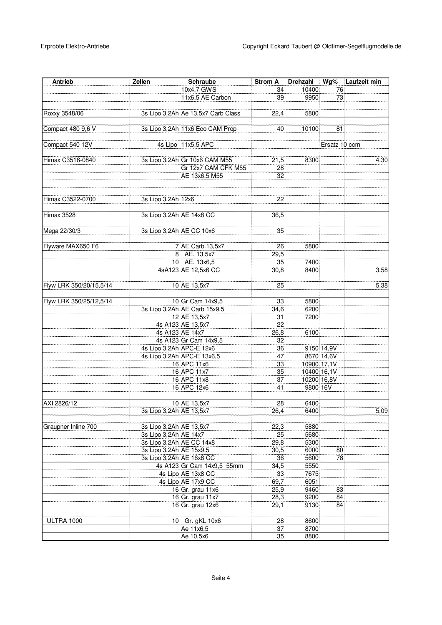| Antrieb                 | Zellen                   | <b>Schraube</b>                    | <b>Strom A</b> | <b>Drehzahl</b> | Wg%           | Laufzeit min |
|-------------------------|--------------------------|------------------------------------|----------------|-----------------|---------------|--------------|
|                         |                          | 10x4,7 GWS                         | 34             | 10400           | 76            |              |
|                         |                          | 11x6,5 AE Carbon                   | 39             | 9950            | 73            |              |
|                         |                          |                                    |                |                 |               |              |
| Roxxy 3548/06           |                          | 3s Lipo 3,2Ah Ae 13,5x7 Carb Class | 22,4           | 5800            |               |              |
|                         |                          |                                    |                |                 |               |              |
| Compact 480 9,6 V       |                          | 3s Lipo 3,2Ah 11x6 Eco CAM Prop    | 40             | 10100           | 81            |              |
|                         |                          |                                    |                |                 |               |              |
| Compact 540 12V         |                          | 4s Lipo 11x5,5 APC                 |                |                 | Ersatz 10 ccm |              |
|                         |                          |                                    |                |                 |               |              |
| Himax C3516-0840        |                          | 3s Lipo 3,2Ah Gr 10x6 CAM M55      | 21,5           | 8300            |               | 4,30         |
|                         |                          | Gr 12x7 CAM CFK M55                | 28             |                 |               |              |
|                         |                          | AE 13x6,5 M55                      | 32             |                 |               |              |
|                         |                          |                                    |                |                 |               |              |
|                         |                          |                                    |                |                 |               |              |
| Himax C3522-0700        | 3s Lipo 3,2Ah 12x6       |                                    | 22             |                 |               |              |
|                         |                          |                                    |                |                 |               |              |
| Himax 3528              | 3s Lipo 3,2Ah AE 14x8 CC |                                    | 36,5           |                 |               |              |
|                         |                          |                                    |                |                 |               |              |
| Mega 22/30/3            | 3s Lipo 3,2Ah AE CC 10x6 |                                    | 35             |                 |               |              |
|                         |                          |                                    |                |                 |               |              |
| Flyware MAX650 F6       |                          | 7 AE Carb.13,5x7                   | 26             | 5800            |               |              |
|                         |                          | 8 AE. 13,5x7                       | 29,5           |                 |               |              |
|                         |                          | 10 AE. 13x6,5                      | 35             | 7400            |               |              |
|                         |                          | 4sA123 AE 12,5x6 CC                |                | 8400            |               | 3,58         |
|                         |                          |                                    | 30,8           |                 |               |              |
|                         |                          |                                    |                |                 |               |              |
| Flyw LRK 350/20/15,5/14 |                          | 10 AE 13,5x7                       | 25             |                 |               | 5,38         |
|                         |                          |                                    |                |                 |               |              |
| Flyw LRK 350/25/12,5/14 |                          | 10 Gr Cam 14x9.5                   | 33             | 5800            |               |              |
|                         |                          | 3s Lipo 3,2Ah AE Carb 15x9,5       | 34,6           | 6200            |               |              |
|                         |                          | 12 AE 13,5x7                       | 31             | 7200            |               |              |
|                         |                          | 4s A123 AE 13,5x7                  | 22             |                 |               |              |
|                         |                          | 4s A123 AE 14x7                    | 26,8           | 6100            |               |              |
|                         |                          | 4s A123 Gr Cam 14x9,5              | 32             |                 |               |              |
|                         | 4s Lipo 3,2Ah APC-E 12x6 |                                    | 36             |                 | 9150 14,9V    |              |
|                         |                          | 4s Lipo 3,2Ah APC-E 13x6,5         | 47             |                 | 8670 14,6V    |              |
|                         |                          | 16 APC 11x6                        | 33             |                 | 10900 17,1V   |              |
|                         |                          | 16 APC 11x7                        | 35             |                 | 10400 16,1V   |              |
|                         |                          | 16 APC 11x8                        | 37             |                 | 10200 16,8V   |              |
|                         |                          | 16 APC 12x6                        | 41             | 9800 16V        |               |              |
|                         |                          |                                    |                |                 |               |              |
| AXI 2826/12             |                          | 10 AE 13,5x7                       | 28             | 6400            |               |              |
|                         | 3s Lipo 3,2Ah AE 13,5x7  |                                    | 26,4           | 6400            |               | 5,09         |
|                         |                          |                                    |                |                 |               |              |
| Graupner Inline 700     | 3s Lipo 3,2Ah AE 13,5x7  |                                    | 22,3           | 5880            |               |              |
|                         | 3s Lipo 3,2Ah AE 14x7    |                                    | 25             | 5680            |               |              |
|                         | 3s Lipo 3,2Ah AE CC 14x8 |                                    | 29,8           | 5300            |               |              |
|                         | 3s Lipo 3,2Ah AE 15x9,5  |                                    | 30,5           | 6000            | 80            |              |
|                         | 3s Lipo 3,2Ah AE 16x8 CC |                                    | 36             | 5600            | 78            |              |
|                         |                          | 4s A123 Gr Cam 14x9,5 55mm         | 34,5           | 5550            |               |              |
|                         |                          | 4s Lipo AE 13x8 CC                 | 33             | 7675            |               |              |
|                         |                          | 4s Lipo AE 17x9 CC                 | 69,7           | 6051            |               |              |
|                         |                          | 16 Gr. grau 11x6                   | 25,9           | 9460            | 83            |              |
|                         |                          | 16 Gr. grau 11x7                   | 28,3           | 9200            | 84            |              |
|                         |                          | 16 Gr. grau 12x6                   | 29,1           | 9130            | 84            |              |
|                         |                          |                                    |                |                 |               |              |
| ULTRA 1000              |                          | 10 Gr. gKL 10x6                    | 28             | 8600            |               |              |
|                         |                          | Ae 11x6,5                          | 37             | 8700            |               |              |
|                         |                          | Ae 10,5x6                          | 35             | 8800            |               |              |